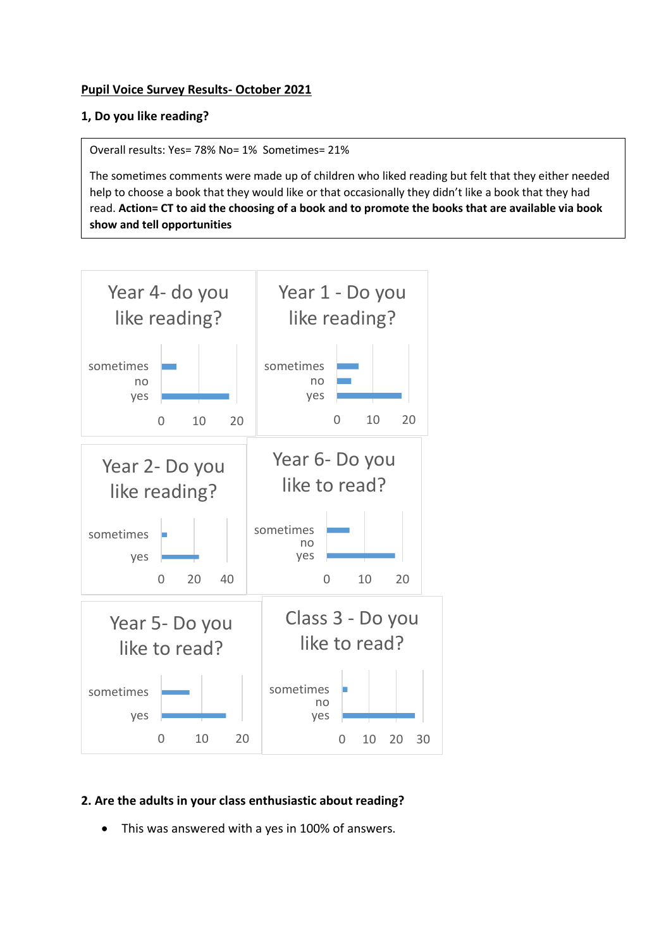### **Pupil Voice Survey Results- October 2021**

### **1, Do you like reading?**

Overall results: Yes= 78% No= 1% Sometimes= 21%

The sometimes comments were made up of children who liked reading but felt that they either needed help to choose a book that they would like or that occasionally they didn't like a book that they had read. **Action= CT to aid the choosing of a book and to promote the books that are available via book show and tell opportunities**



# **2. Are the adults in your class enthusiastic about reading?**

• This was answered with a yes in 100% of answers.